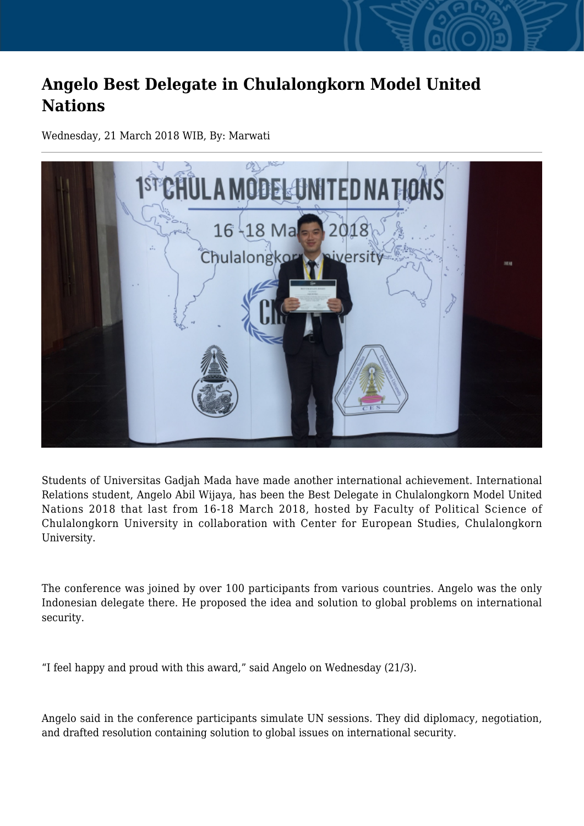## **Angelo Best Delegate in Chulalongkorn Model United Nations**

Wednesday, 21 March 2018 WIB, By: Marwati



Students of Universitas Gadjah Mada have made another international achievement. International Relations student, Angelo Abil Wijaya, has been the Best Delegate in Chulalongkorn Model United Nations 2018 that last from 16-18 March 2018, hosted by Faculty of Political Science of Chulalongkorn University in collaboration with Center for European Studies, Chulalongkorn University.

The conference was joined by over 100 participants from various countries. Angelo was the only Indonesian delegate there. He proposed the idea and solution to global problems on international security.

"I feel happy and proud with this award," said Angelo on Wednesday (21/3).

Angelo said in the conference participants simulate UN sessions. They did diplomacy, negotiation, and drafted resolution containing solution to global issues on international security.